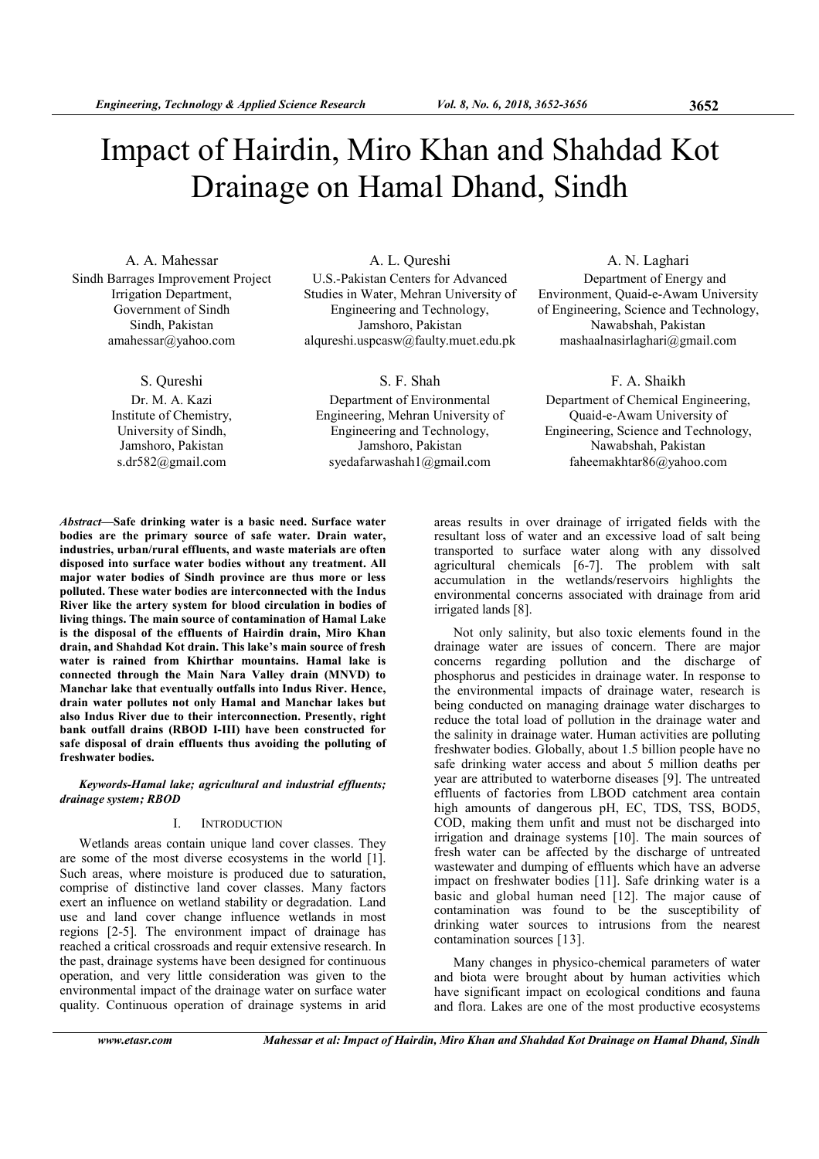# Impact of Hairdin, Miro Khan and Shahdad Kot Drainage on Hamal Dhand, Sindh

A. A. Mahessar Sindh Barrages Improvement Project Irrigation Department, Government of Sindh Sindh, Pakistan amahessar@yahoo.com

S. Qureshi

Dr. M. A. Kazi Institute of Chemistry, University of Sindh, Jamshoro, Pakistan s.dr582@gmail.com

A. L. Qureshi U.S.-Pakistan Centers for Advanced Studies in Water, Mehran University of Engineering and Technology, Jamshoro, Pakistan alqureshi.uspcasw@faulty.muet.edu.pk

S. F. Shah

Department of Environmental Engineering, Mehran University of Engineering and Technology, Jamshoro, Pakistan syedafarwashah1@gmail.com

A. N. Laghari

Department of Energy and Environment, Quaid-e-Awam University of Engineering, Science and Technology, Nawabshah, Pakistan mashaalnasirlaghari@gmail.com

# F. A. Shaikh

Department of Chemical Engineering, Quaid-e-Awam University of Engineering, Science and Technology, Nawabshah, Pakistan faheemakhtar86@yahoo.com

Abstract—Safe drinking water is a basic need. Surface water bodies are the primary source of safe water. Drain water, industries, urban/rural effluents, and waste materials are often disposed into surface water bodies without any treatment. All major water bodies of Sindh province are thus more or less polluted. These water bodies are interconnected with the Indus River like the artery system for blood circulation in bodies of living things. The main source of contamination of Hamal Lake is the disposal of the effluents of Hairdin drain, Miro Khan drain, and Shahdad Kot drain. This lake's main source of fresh water is rained from Khirthar mountains. Hamal lake is connected through the Main Nara Valley drain (MNVD) to Manchar lake that eventually outfalls into Indus River. Hence, drain water pollutes not only Hamal and Manchar lakes but also Indus River due to their interconnection. Presently, right bank outfall drains (RBOD I-III) have been constructed for safe disposal of drain effluents thus avoiding the polluting of freshwater bodies.

## Keywords-Hamal lake; agricultural and industrial effluents; drainage system; RBOD

# I. INTRODUCTION

Wetlands areas contain unique land cover classes. They are some of the most diverse ecosystems in the world [1]. Such areas, where moisture is produced due to saturation, comprise of distinctive land cover classes. Many factors exert an influence on wetland stability or degradation. Land use and land cover change influence wetlands in most regions [2-5]. The environment impact of drainage has reached a critical crossroads and requir extensive research. In the past, drainage systems have been designed for continuous operation, and very little consideration was given to the environmental impact of the drainage water on surface water quality. Continuous operation of drainage systems in arid

areas results in over drainage of irrigated fields with the resultant loss of water and an excessive load of salt being transported to surface water along with any dissolved agricultural chemicals [6-7]. The problem with salt accumulation in the wetlands/reservoirs highlights the environmental concerns associated with drainage from arid irrigated lands [8].

Not only salinity, but also toxic elements found in the drainage water are issues of concern. There are major concerns regarding pollution and the discharge of phosphorus and pesticides in drainage water. In response to the environmental impacts of drainage water, research is being conducted on managing drainage water discharges to reduce the total load of pollution in the drainage water and the salinity in drainage water. Human activities are polluting freshwater bodies. Globally, about 1.5 billion people have no safe drinking water access and about 5 million deaths per year are attributed to waterborne diseases [9]. The untreated effluents of factories from LBOD catchment area contain high amounts of dangerous pH, EC, TDS, TSS, BOD5, COD, making them unfit and must not be discharged into irrigation and drainage systems [10]. The main sources of fresh water can be affected by the discharge of untreated wastewater and dumping of effluents which have an adverse impact on freshwater bodies [11]. Safe drinking water is a basic and global human need [12]. The major cause of contamination was found to be the susceptibility of drinking water sources to intrusions from the nearest contamination sources [13].

Many changes in physico-chemical parameters of water and biota were brought about by human activities which have significant impact on ecological conditions and fauna and flora. Lakes are one of the most productive ecosystems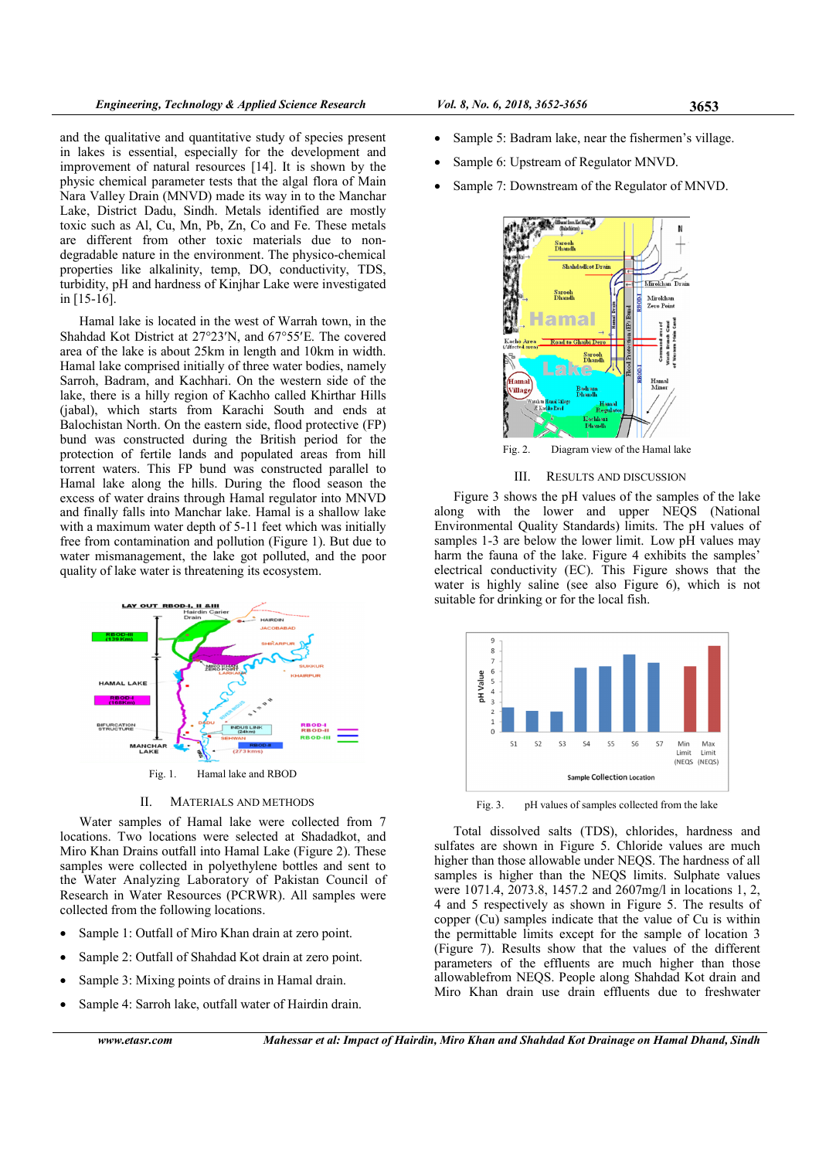and the qualitative and quantitative study of species present in lakes is essential, especially for the development and improvement of natural resources [14]. It is shown by the physic chemical parameter tests that the algal flora of Main Nara Valley Drain (MNVD) made its way in to the Manchar Lake, District Dadu, Sindh. Metals identified are mostly toxic such as Al, Cu, Mn, Pb, Zn, Co and Fe. These metals are different from other toxic materials due to nondegradable nature in the environment. The physico-chemical properties like alkalinity, temp, DO, conductivity, TDS, turbidity, pH and hardness of Kinjhar Lake were investigated in [15-16].

Hamal lake is located in the west of Warrah town, in the Shahdad Kot District at 27°23′N, and 67°55′E. The covered area of the lake is about 25km in length and 10km in width. Hamal lake comprised initially of three water bodies, namely Sarroh, Badram, and Kachhari. On the western side of the lake, there is a hilly region of Kachho called Khirthar Hills (jabal), which starts from Karachi South and ends at Balochistan North. On the eastern side, flood protective (FP) bund was constructed during the British period for the protection of fertile lands and populated areas from hill torrent waters. This FP bund was constructed parallel to Hamal lake along the hills. During the flood season the excess of water drains through Hamal regulator into MNVD and finally falls into Manchar lake. Hamal is a shallow lake with a maximum water depth of 5-11 feet which was initially free from contamination and pollution (Figure 1). But due to water mismanagement, the lake got polluted, and the poor quality of lake water is threatening its ecosystem.



II. MATERIALS AND METHODS

Water samples of Hamal lake were collected from 7 locations. Two locations were selected at Shadadkot, and Miro Khan Drains outfall into Hamal Lake (Figure 2). These samples were collected in polyethylene bottles and sent to the Water Analyzing Laboratory of Pakistan Council of Research in Water Resources (PCRWR). All samples were collected from the following locations.

- Sample 1: Outfall of Miro Khan drain at zero point.
- Sample 2: Outfall of Shahdad Kot drain at zero point.
- Sample 3: Mixing points of drains in Hamal drain.
- Sample 4: Sarroh lake, outfall water of Hairdin drain.
- Sample 5: Badram lake, near the fishermen's village.
- Sample 6: Upstream of Regulator MNVD.
- Sample 7: Downstream of the Regulator of MNVD.



Fig. 2. Diagram view of the Hamal lake

III. RESULTS AND DISCUSSION

Figure 3 shows the pH values of the samples of the lake along with the lower and upper NEQS (National Environmental Quality Standards) limits. The pH values of samples 1-3 are below the lower limit. Low pH values may harm the fauna of the lake. Figure 4 exhibits the samples' electrical conductivity (EC). This Figure shows that the water is highly saline (see also Figure 6), which is not suitable for drinking or for the local fish.



Fig. 3. pH values of samples collected from the lake

Total dissolved salts (TDS), chlorides, hardness and sulfates are shown in Figure 5. Chloride values are much higher than those allowable under NEQS. The hardness of all samples is higher than the NEQS limits. Sulphate values were 1071.4, 2073.8, 1457.2 and 2607mg/l in locations 1, 2, 4 and 5 respectively as shown in Figure 5. The results of copper (Cu) samples indicate that the value of Cu is within the permittable limits except for the sample of location 3 (Figure 7). Results show that the values of the different parameters of the effluents are much higher than those allowablefrom NEQS. People along Shahdad Kot drain and Miro Khan drain use drain effluents due to freshwater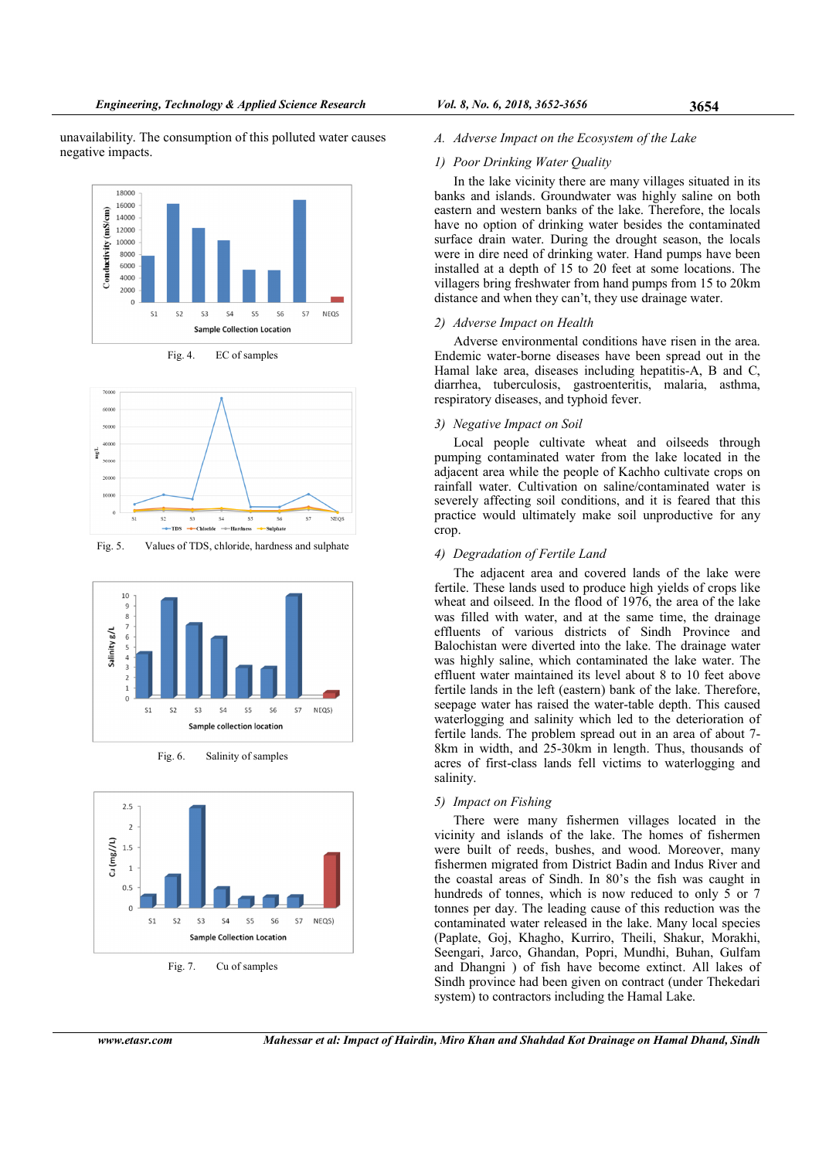unavailability. The consumption of this polluted water causes negative impacts.



Fig. 4. EC of samples



Fig. 5. Values of TDS, chloride, hardness and sulphate



Fig. 6. Salinity of samples



Fig. 7. Cu of samples

A. Adverse Impact on the Ecosystem of the Lake

## 1) Poor Drinking Water Quality

In the lake vicinity there are many villages situated in its banks and islands. Groundwater was highly saline on both eastern and western banks of the lake. Therefore, the locals have no option of drinking water besides the contaminated surface drain water. During the drought season, the locals were in dire need of drinking water. Hand pumps have been installed at a depth of 15 to 20 feet at some locations. The villagers bring freshwater from hand pumps from 15 to 20km distance and when they can't, they use drainage water.

# 2) Adverse Impact on Health

Adverse environmental conditions have risen in the area. Endemic water-borne diseases have been spread out in the Hamal lake area, diseases including hepatitis-A, B and C, diarrhea, tuberculosis, gastroenteritis, malaria, asthma, respiratory diseases, and typhoid fever.

#### 3) Negative Impact on Soil

Local people cultivate wheat and oilseeds through pumping contaminated water from the lake located in the adjacent area while the people of Kachho cultivate crops on rainfall water. Cultivation on saline/contaminated water is severely affecting soil conditions, and it is feared that this practice would ultimately make soil unproductive for any crop.

# 4) Degradation of Fertile Land

The adjacent area and covered lands of the lake were fertile. These lands used to produce high yields of crops like wheat and oilseed. In the flood of 1976, the area of the lake was filled with water, and at the same time, the drainage effluents of various districts of Sindh Province and Balochistan were diverted into the lake. The drainage water was highly saline, which contaminated the lake water. The effluent water maintained its level about 8 to 10 feet above fertile lands in the left (eastern) bank of the lake. Therefore, seepage water has raised the water-table depth. This caused waterlogging and salinity which led to the deterioration of fertile lands. The problem spread out in an area of about 7- 8km in width, and 25-30km in length. Thus, thousands of acres of first-class lands fell victims to waterlogging and salinity.

#### 5) Impact on Fishing

There were many fishermen villages located in the vicinity and islands of the lake. The homes of fishermen were built of reeds, bushes, and wood. Moreover, many fishermen migrated from District Badin and Indus River and the coastal areas of Sindh. In 80's the fish was caught in hundreds of tonnes, which is now reduced to only 5 or 7 tonnes per day. The leading cause of this reduction was the contaminated water released in the lake. Many local species (Paplate, Goj, Khagho, Kurriro, Theili, Shakur, Morakhi, Seengari, Jarco, Ghandan, Popri, Mundhi, Buhan, Gulfam and Dhangni ) of fish have become extinct. All lakes of Sindh province had been given on contract (under Thekedari system) to contractors including the Hamal Lake.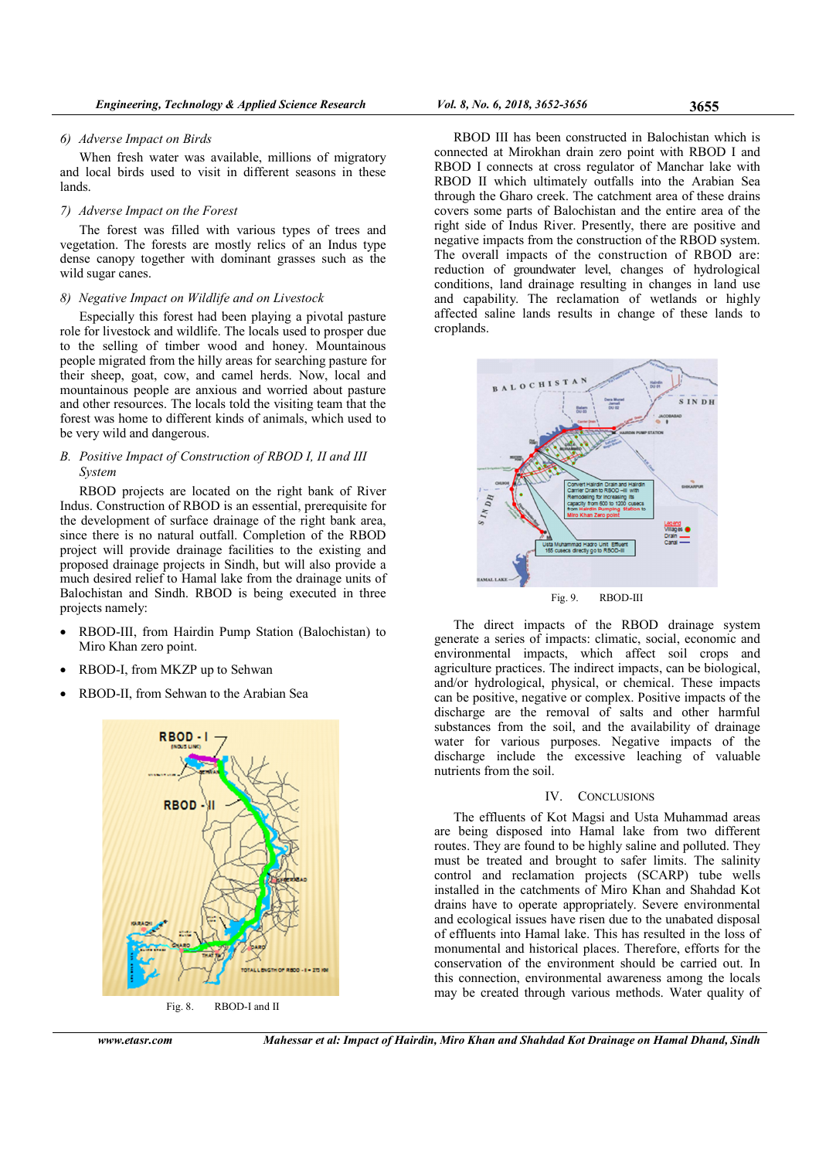## 6) Adverse Impact on Birds

When fresh water was available, millions of migratory and local birds used to visit in different seasons in these lands.

## 7) Adverse Impact on the Forest

The forest was filled with various types of trees and vegetation. The forests are mostly relics of an Indus type dense canopy together with dominant grasses such as the wild sugar canes.

## 8) Negative Impact on Wildlife and on Livestock

Especially this forest had been playing a pivotal pasture role for livestock and wildlife. The locals used to prosper due to the selling of timber wood and honey. Mountainous people migrated from the hilly areas for searching pasture for their sheep, goat, cow, and camel herds. Now, local and mountainous people are anxious and worried about pasture and other resources. The locals told the visiting team that the forest was home to different kinds of animals, which used to be very wild and dangerous.

# B. Positive Impact of Construction of RBOD I, II and III System

RBOD projects are located on the right bank of River Indus. Construction of RBOD is an essential, prerequisite for the development of surface drainage of the right bank area, since there is no natural outfall. Completion of the RBOD project will provide drainage facilities to the existing and proposed drainage projects in Sindh, but will also provide a much desired relief to Hamal lake from the drainage units of Balochistan and Sindh. RBOD is being executed in three projects namely:

- RBOD-III, from Hairdin Pump Station (Balochistan) to Miro Khan zero point.
- RBOD-I, from MKZP up to Sehwan
- RBOD-II, from Sehwan to the Arabian Sea



Fig. 8. RBOD-I and II

RBOD III has been constructed in Balochistan which is connected at Mirokhan drain zero point with RBOD I and RBOD I connects at cross regulator of Manchar lake with RBOD II which ultimately outfalls into the Arabian Sea through the Gharo creek. The catchment area of these drains covers some parts of Balochistan and the entire area of the right side of Indus River. Presently, there are positive and negative impacts from the construction of the RBOD system. The overall impacts of the construction of RBOD are: reduction of groundwater level, changes of hydrological conditions, land drainage resulting in changes in land use and capability. The reclamation of wetlands or highly affected saline lands results in change of these lands to croplands.



The direct impacts of the RBOD drainage system generate a series of impacts: climatic, social, economic and environmental impacts, which affect soil crops and agriculture practices. The indirect impacts, can be biological, and/or hydrological, physical, or chemical. These impacts can be positive, negative or complex. Positive impacts of the discharge are the removal of salts and other harmful substances from the soil, and the availability of drainage water for various purposes. Negative impacts of the discharge include the excessive leaching of valuable nutrients from the soil.

#### IV. CONCLUSIONS

The effluents of Kot Magsi and Usta Muhammad areas are being disposed into Hamal lake from two different routes. They are found to be highly saline and polluted. They must be treated and brought to safer limits. The salinity control and reclamation projects (SCARP) tube wells installed in the catchments of Miro Khan and Shahdad Kot drains have to operate appropriately. Severe environmental and ecological issues have risen due to the unabated disposal of effluents into Hamal lake. This has resulted in the loss of monumental and historical places. Therefore, efforts for the conservation of the environment should be carried out. In this connection, environmental awareness among the locals may be created through various methods. Water quality of